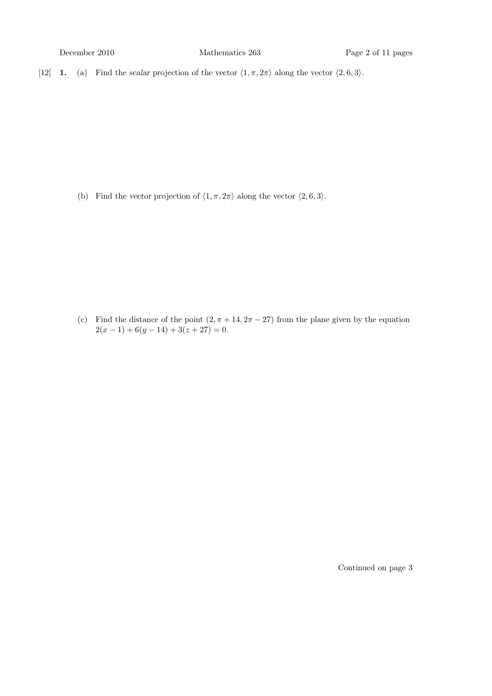[12] **1.** (a) Find the scalar projection of the vector  $\langle 1, \pi, 2\pi \rangle$  along the vector  $\langle 2, 6, 3 \rangle$ .

(b) Find the vector projection of  $\langle 1, \pi, 2\pi \rangle$  along the vector  $\langle 2, 6, 3 \rangle$ .

(c) Find the distance of the point  $(2, \pi + 14, 2\pi - 27)$  from the plane given by the equation  $2(x-1) + 6(y-14) + 3(z+27) = 0.$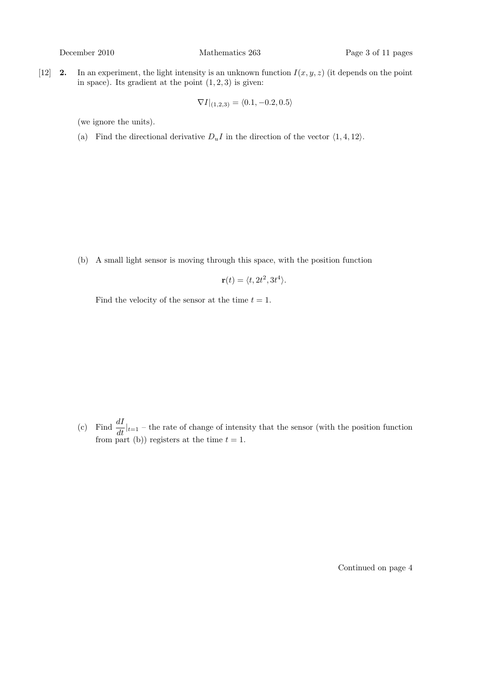[12] **2.** In an experiment, the light intensity is an unknown function  $I(x, y, z)$  (it depends on the point in space). Its gradient at the point  $(1, 2, 3)$  is given:

$$
\nabla I|_{(1,2,3)} = \langle 0.1, -0.2, 0.5 \rangle
$$

(we ignore the units).

(a) Find the directional derivative  $D_u I$  in the direction of the vector  $\langle 1, 4, 12 \rangle$ .

(b) A small light sensor is moving through this space, with the position function

$$
\mathbf{r}(t) = \langle t, 2t^2, 3t^4 \rangle.
$$

Find the velocity of the sensor at the time  $t = 1$ .

(c) Find  $\frac{dI}{dt}|_{t=1}$  – the rate of change of intensity that the sensor (with the position function from part (b)) registers at the time  $t = 1$ .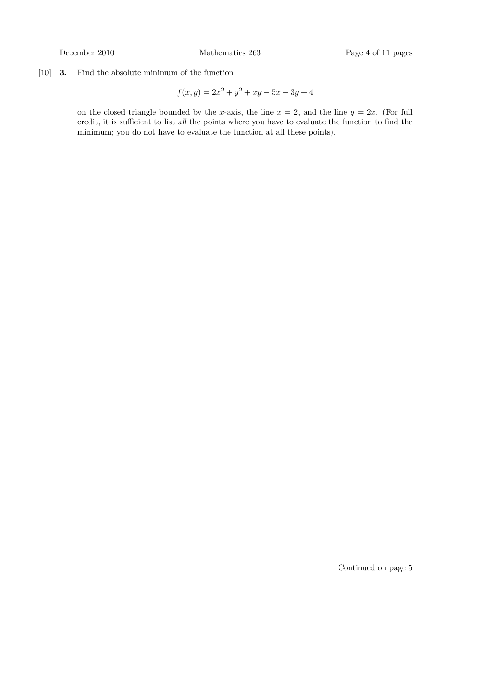[10] 3. Find the absolute minimum of the function

$$
f(x, y) = 2x^2 + y^2 + xy - 5x - 3y + 4
$$

on the closed triangle bounded by the x-axis, the line  $x = 2$ , and the line  $y = 2x$ . (For full credit, it is sufficient to list all the points where you have to evaluate the function to find the minimum; you do not have to evaluate the function at all these points).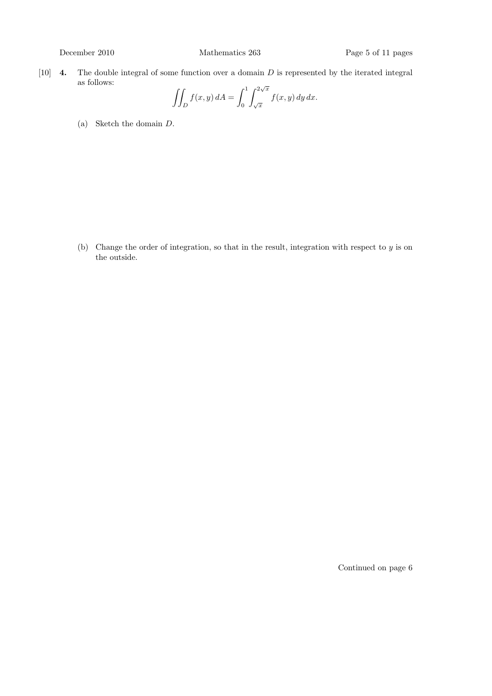[10]  $\bullet$ . The double integral of some function over a domain D is represented by the iterated integral as follows:  $\sqrt{x}$ 

$$
\iint_D f(x, y) dA = \int_0^1 \int_{\sqrt{x}}^{2\sqrt{x}} f(x, y) dy dx.
$$

(a) Sketch the domain D.

(b) Change the order of integration, so that in the result, integration with respect to  $y$  is on the outside.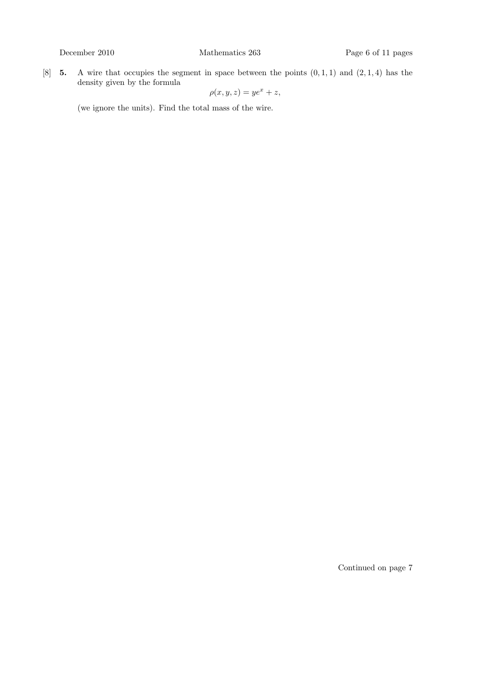[8] **5.** A wire that occupies the segment in space between the points  $(0, 1, 1)$  and  $(2, 1, 4)$  has the density given by the formula

$$
\rho(x, y, z) = ye^x + z,
$$

(we ignore the units). Find the total mass of the wire.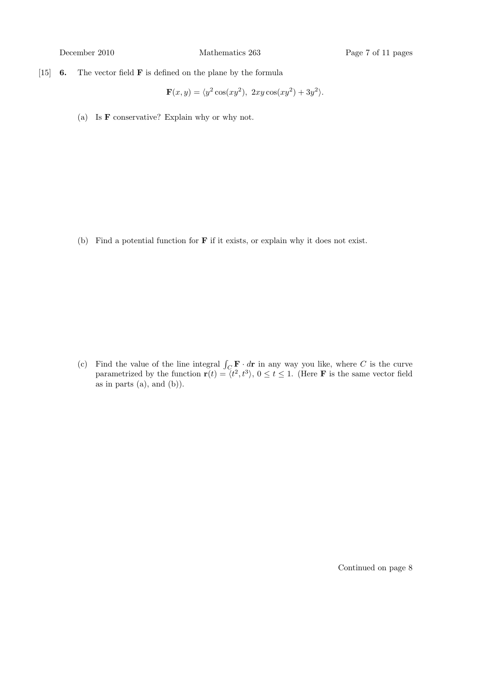[15] 6. The vector field F is defined on the plane by the formula

$$
\mathbf{F}(x,y) = \langle y^2 \cos(xy^2), \ 2xy \cos(xy^2) + 3y^2 \rangle.
$$

(a) Is F conservative? Explain why or why not.

(b) Find a potential function for F if it exists, or explain why it does not exist.

(c) Find the value of the line integral  $\int_C \mathbf{F} \cdot d\mathbf{r}$  in any way you like, where C is the curve parametrized by the function  $\mathbf{r}(t) = \langle t^2, t^3 \rangle$ ,  $0 \le t \le 1$ . (Here **F** is the same vector field as in parts  $(a)$ , and  $(b)$ ).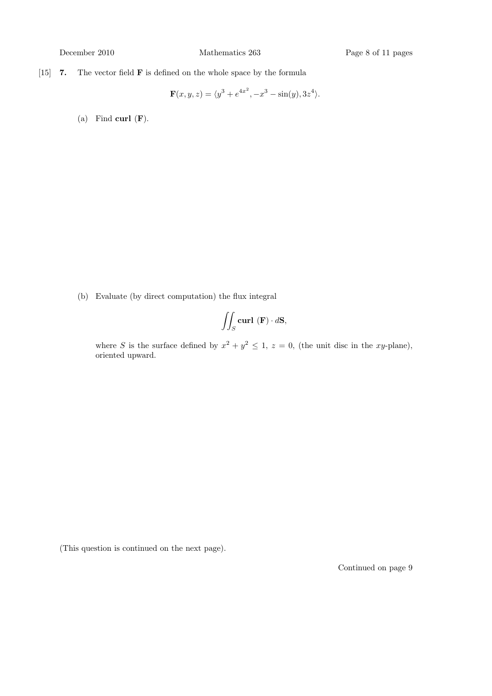[15] 7. The vector field F is defined on the whole space by the formula

$$
\mathbf{F}(x, y, z) = \langle y^3 + e^{4x^2}, -x^3 - \sin(y), 3z^4 \rangle.
$$

(a) Find curl  $(F)$ .

(b) Evaluate (by direct computation) the flux integral

$$
\iint_S \mathbf{curl} \ (\mathbf{F}) \cdot d\mathbf{S},
$$

where S is the surface defined by  $x^2 + y^2 \le 1$ ,  $z = 0$ , (the unit disc in the xy-plane), oriented upward.

(This question is continued on the next page).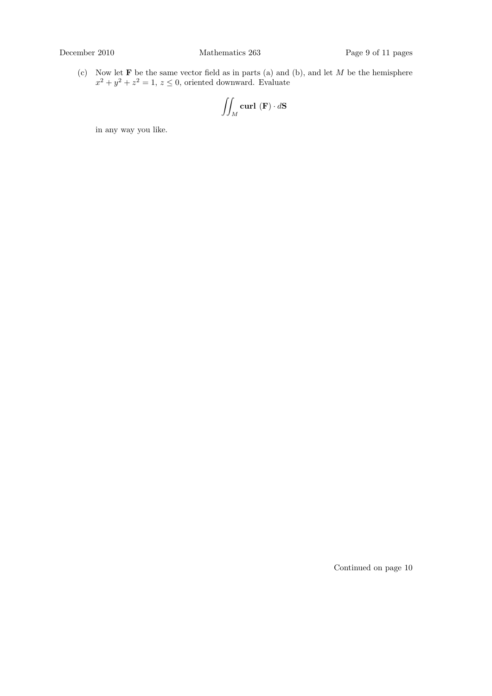(c) Now let **F** be the same vector field as in parts (a) and (b), and let M be the hemisphere  $x^2 + y^2 + z^2 = 1, z \leq 0$ , oriented downward. Evaluate

$$
\iint_M \mathbf{curl} \ (\mathbf{F}) \cdot d\mathbf{S}
$$

in any way you like.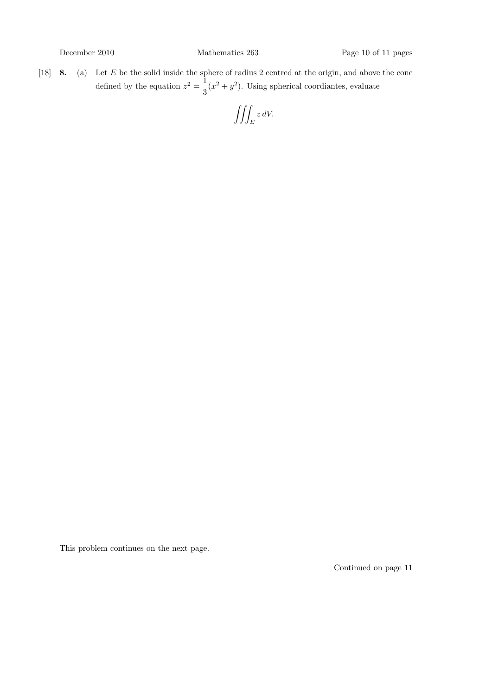[18] **8.** (a) Let E be the solid inside the sphere of radius 2 centred at the origin, and above the cone defined by the equation  $z^2 = \frac{1}{2}$  $\frac{1}{3}(x^2+y^2)$ . Using spherical coordiantes, evaluate

$$
\iiint_E z\,dV.
$$

This problem continues on the next page.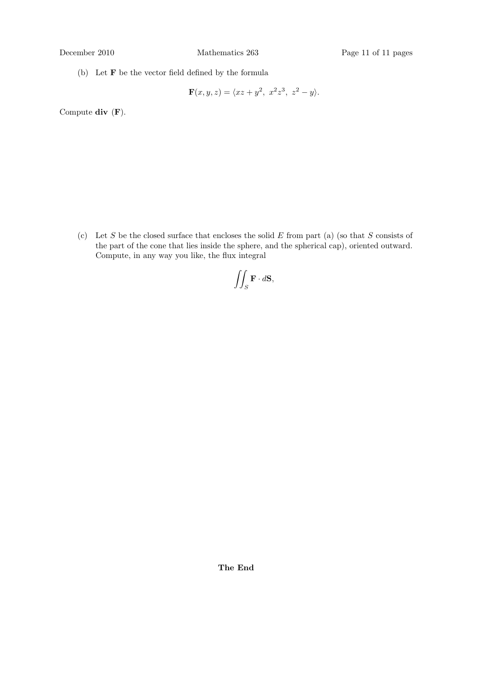(b) Let F be the vector field defined by the formula

$$
\mathbf{F}(x,y,z) = \langle xz + y^2, x^2z^3, z^2 - y \rangle.
$$

Compute  $div$   $(F)$ .

(c) Let S be the closed surface that encloses the solid  $E$  from part (a) (so that S consists of the part of the cone that lies inside the sphere, and the spherical cap), oriented outward. Compute, in any way you like, the flux integral

$$
\iint_{S} \mathbf{F} \cdot d\mathbf{S},
$$

The End